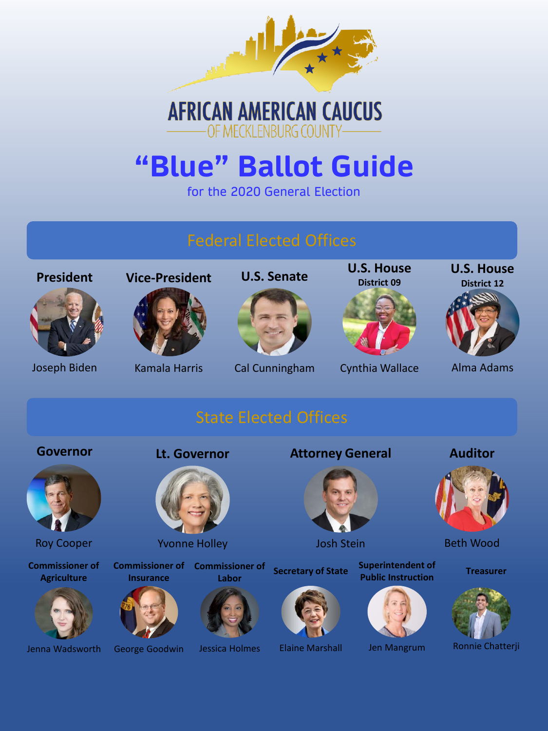

## **AFRICAN AMERICAN CAUCUS** OF MECKLENBURG COUNTY-

## **"Blue" Ballot Guide**

for the 2020 General Election

### Federal Elected Offices

**U.S. Senate U.S. House District 09**

Cynthia Wallace

**U.S. House District 12**



Joseph Biden Kamala Harris Cal Cunningham Cynthia Wallace Alma Adams

**Auditor**

Beth Wood

## State Elected Offices

**Governor Lt. Governor**

**President Vice-President**



Roy Cooper

**Commissioner of Agriculture**



Jenna Wadsworth



Yvonne Holley

**Insurance**

George Goodwin

**Commissioner of Commissioner of Labor**





**Attorney General**



Josh Stein



### Jen Mangrum

**Superintendent of Public Instruction**



Ronnie Chatterji

**Treasurer**

**Secretary of State**



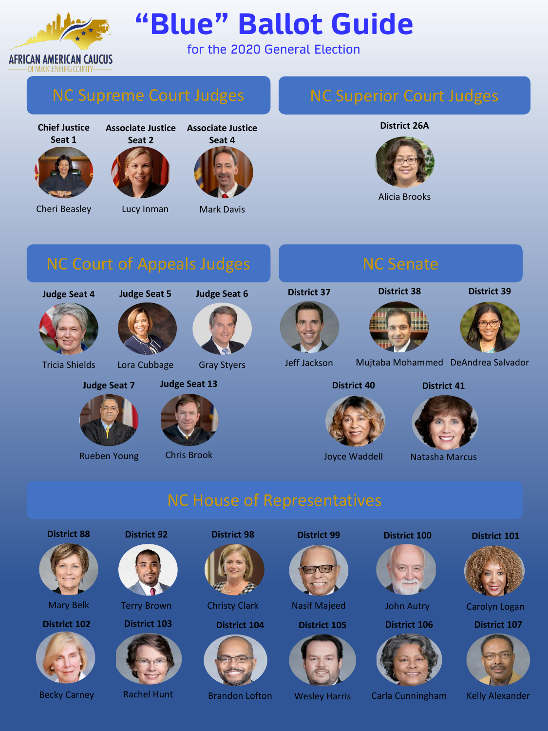

# **"Blue" Ballot Guide**

for the 2020 General Election

**Chief Justice Seat 1**





Cheri Beasley



**Associate Justice Seat 4**



Mark Davis

### NC Superior Court Judges

### **District 26A**



Alicia Brooks

**Judge Seat 4**



Tricia Shields



Lora Cubbage

**Judge Seat 7**

Rueben Young

**Judge Seat 6**

Gray Styers

**Judge Seat 13**

Chris Brook



**District 37**

**District 38**





Jeff Jackson Mujtaba Mohammed DeAndrea Salvador

**District 40**



Joyce Waddell

**District 41**



Natasha Marcus

**District 88**



Mary Belk

**District 102**



Becky Carney



Terry Brown

**District 103**



Rachel Hunt

**District 98**



Christy Clark

**District 104 District 105**



**District 99**

Nasif Majeed

Wesley Harris









Brandon Lofton Wesley Harris Carla Cunningham Kelly Alexander





Carolyn Logan

**District 107**